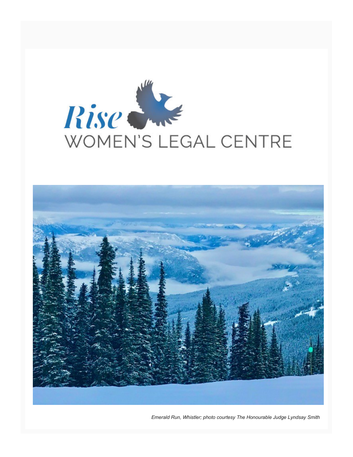



*Emerald Run, Whistler; photo courtesy The Honourable Judge Lyndsay Smith*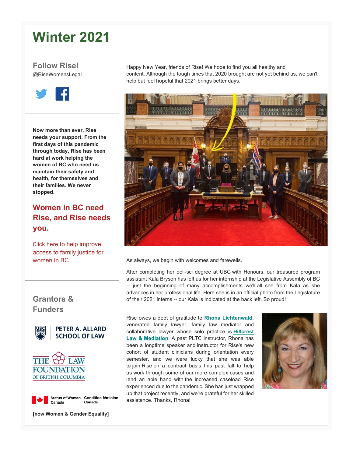# **Winter 2021**

**Follow Rise!** @RiseWomensLegal



**Now more than ever, Rise needs your support. From the first days of this pandemic through today, Rise has been hard at work helping the women of BC who need us maintain their safety and health, for themselves and their families. We never stopped.**

### **Women in BC need Rise, and Rise needs you.**

[Click here](https://womenslegalcentre.us10.list-manage.com/track/click?u=f078aba75ebe057aaca82e319&id=d743ef7a8e&e=c97e8fda04) to help improve access to family justice for women in BC

### **Grantors & Funders**



**PETER A. ALLARD SCHOOL OF LAW** 





**[now Women & Gender Equality]**

Happy New Year, friends of Rise! We hope to find you all healthy and content. Although the tough times that 2020 brought are not yet behind us, we can't help but feel hopeful that 2021 brings better days.



As always, we begin with welcomes and farewells.

After completing her poli-sci degree at UBC with Honours, our treasured program assistant Kala Bryson has left us for her internship at the Legislative Assembly of BC -- just the beginning of many accomplishments we'll all see from Kala as she advances in her professional life. Here she is in an official photo from the Legislature of their 2021 interns -- our Kala is indicated at the back left. So proud!

Rise owes a debt of gratitude to **Rhona Lichtenwald**, venerated family lawyer, family law mediator and collaborative lawyer whose solo practice is **[Hillcrest](https://womenslegalcentre.us10.list-manage.com/track/click?u=f078aba75ebe057aaca82e319&id=2aa402ad34&e=c97e8fda04)  [Law & Mediation](https://womenslegalcentre.us10.list-manage.com/track/click?u=f078aba75ebe057aaca82e319&id=2aa402ad34&e=c97e8fda04)**. A past PLTC instructor, Rhona has been a longtime speaker and instructor for Rise's new cohort of student clinicians during orientation every semester, and we were lucky that she was able to join Rise on a contract basis this past fall to help us work through some of our more complex cases and lend an able hand with the increased caseload Rise experienced due to the pandemic. She has just wrapped up that project recently, and we're grateful for her skilled assistance. Thanks, Rhona!

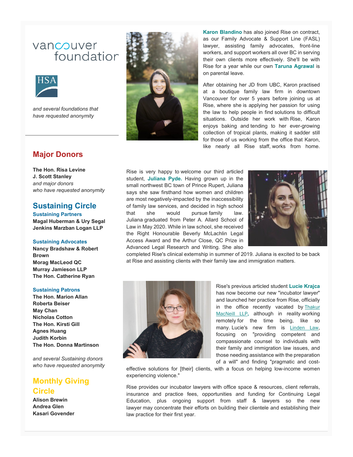## vancouver foundation



*and several foundations that have requested anonymity*

### **Major Donors**

**The Hon. Risa Levine J. Scott Stanley** *and major donors who have requested anonymity*

### **Sustaining Circle**

**Sustaining Partners Magal Huberman & Ury Segal Jenkins Marzban Logan LLP**

#### **Sustaining Advocates**

**Nancy Bradshaw & Robert Brown Morag MacLeod QC Murray Jamieson LLP The Hon. Catherine Ryan**

#### **Sustaining Patrons**

**The Hon. Marion Allan Roberta Beiser May Chan Nicholas Cotton The Hon. Kirsti Gill Agnes Huang Judith Korbin The Hon. Donna Martinson**

*and several Sustaining donors who have requested anonymity*

### **Monthly Giving Circle**

**Alison Brewin Andrea Glen Kasari Govender**



**Karon Blandino** has also joined Rise on contract, as our Family Advocate & Support Line (FASL) lawyer, assisting family advocates, front-line workers, and support workers all over BC in serving their own clients more effectively. She'll be with Rise for a year while our own **Taruna Agrawal** is on parental leave.

After obtaining her JD from UBC, Karon practised at a boutique family law firm in downtown Vancouver for over 5 years before joining us at Rise, where she is applying her passion for using the law to help people in find solutions to difficult situations. Outside her work with Rise, Karon enjoys baking and tending to her ever-growing collection of tropical plants, making it sadder still for those of us working from the office that Karon, like nearly all Rise staff, works from home.

Rise is very happy to welcome our third articled student, **Juliana Pyde.** Having grown up in the small northwest BC town of Prince Rupert, Juliana says she saw firsthand how women and children are most negatively-impacted by the inaccessibility of family law services, and decided in high school that she would pursue family law. Juliana graduated from Peter A. Allard School of Law in May 2020. While in law school, she received the Right Honourable Beverly McLachlin Legal Access Award and the Arthur Close, QC Prize in Advanced Legal Research and Writing. She also



completed Rise's clinical externship in summer of 2019. Juliana is excited to be back at Rise and assisting clients with their family law and immigration matters.



Rise's previous articled student **Lucie Krajca**  has now become our new "incubator lawyer" and launched her practice from Rise, officially in the office recently vacated by Thakur [MacNeill LLP](https://womenslegalcentre.us10.list-manage.com/track/click?u=f078aba75ebe057aaca82e319&id=0f681e4480&e=c97e8fda04)**,** although in reality working remotely for the time being, like so many. Lucie's new firm is [Linden Law](https://womenslegalcentre.us10.list-manage.com/track/click?u=f078aba75ebe057aaca82e319&id=bb69523bfb&e=c97e8fda04), focusing on "providing competent and compassionate counsel to individuals with their family and immigration law issues, and those needing assistance with the preparation of a will" and finding "pragmatic and cost-

effective solutions for [their] clients, with a focus on helping low-income women experiencing violence."

Rise provides our incubator lawyers with office space & resources, client referrals, insurance and practice fees, opportunities and funding for Continuing Legal Education, plus ongoing support from staff & lawyers so the new lawyer may concentrate their efforts on building their clientele and establishing their law practice for their first year.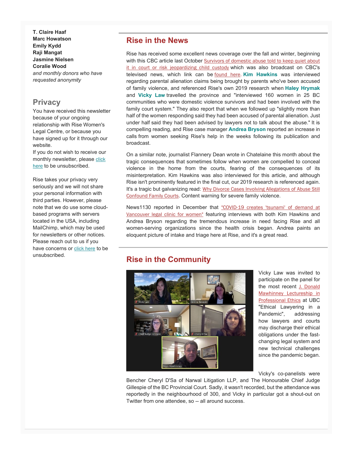**T. Claire Haaf Marc Howatson Emily Kydd Raji Mangat Jasmine Nielsen Coralie Wood** *and monthly donors who have requested anonymity*

### **Privacy**

You have received this newsletter because of your ongoing relationship with Rise Women's Legal Centre, or because you have signed up for it through our website.

If you do not wish to receive our monthly newsletter, please click [here](mailto:sschierbeck@womenslegalcentre.ca?subject=Please%20unsubscribe%20me%20from%20Rise) to be unsubscribed.

Rise takes your privacy very seriously and we will not share your personal information with third parties. However, please note that we do use some cloudbased programs with servers located in the USA, including MailChimp, which may be used for newsletters or other notices. Please reach out to us if you have concerns or [click here](mailto:sschierbeck@womenslegalcentre.ca?subject=Please%20unsubscribe%20me%20from%20Rise) to be unsubscribed.

### **Rise in the News**

Rise has received some excellent news coverage over the fall and winter, beginning with this CBC article last October Survivors of domestic abuse told to keep quiet about [it in court or risk jeopardizing child custody](https://womenslegalcentre.us10.list-manage.com/track/click?u=f078aba75ebe057aaca82e319&id=a6de92cbae&e=c97e8fda04) which was also broadcast on CBC's televised news, which link can be [found here](https://womenslegalcentre.us10.list-manage.com/track/click?u=f078aba75ebe057aaca82e319&id=445c25909f&e=c97e8fda04). **Kim Hawkins** was interviewed regarding parental alienation claims being brought by parents who've been accused of family violence, and referenced Rise's own 2019 research when **Haley Hrymak** and **Vicky Law** travelled the province and "interviewed 160 women in 25 BC communities who were domestic violence survivors and had been involved with the family court system." They also report that when we followed up "slightly more than half of the women responding said they had been accused of parental alienation. Just under half said they had been advised by lawyers not to talk about the abuse." It is compelling reading, and Rise case manager **Andrea Bryson** reported an increase in calls from women seeking Rise's help in the weeks following its publication and broadcast.

On a similar note, journalist Flannery Dean wrote in Chatelaine this month about the tragic consequences that sometimes follow when women are compelled to conceal violence in the home from the courts, fearing of the consequences of its misinterpretation. Kim Hawkins was also interviewed for this article, and although Rise isn't prominently featured in the final cut, our 2019 research is referenced again. It's a tragic but galvanizing read: [Why Divorce Cases Involving Allegations of Abuse Still](https://womenslegalcentre.us10.list-manage.com/track/click?u=f078aba75ebe057aaca82e319&id=7e170bc70c&e=c97e8fda04)  [Confound Family Courts](https://womenslegalcentre.us10.list-manage.com/track/click?u=f078aba75ebe057aaca82e319&id=7e170bc70c&e=c97e8fda04). Content warning for severe family violence.

News1130 reported in December that "COVID-19 creates 'tsunami' of demand at [Vancouver legal clinic for women"](https://womenslegalcentre.us10.list-manage.com/track/click?u=f078aba75ebe057aaca82e319&id=e2f05e6168&e=c97e8fda04) featuring interviews with both Kim Hawkins and Andrea Bryson regarding the tremendous increase in need facing Rise and all women-serving organizations since the health crisis began. Andrea paints an eloquent picture of intake and triage here at Rise, and it's a great read.

### **Rise in the Community**



Vicky Law was invited to participate on the panel for the most recent [J. Donald](https://womenslegalcentre.us10.list-manage.com/track/click?u=f078aba75ebe057aaca82e319&id=212f3917cf&e=c97e8fda04)  [Mawhinney Lectureship in](https://womenslegalcentre.us10.list-manage.com/track/click?u=f078aba75ebe057aaca82e319&id=212f3917cf&e=c97e8fda04)  [Professional Ethics](https://womenslegalcentre.us10.list-manage.com/track/click?u=f078aba75ebe057aaca82e319&id=212f3917cf&e=c97e8fda04) at UBC "Ethical Lawyering in a Pandemic", addressing how lawyers and courts may discharge their ethical obligations under the fastchanging legal system and new technical challenges since the pandemic began.

Vicky's co-panelists were

Bencher Cheryl D'Sa of Narwal Litigation LLP, and The Honourable Chief Judge Gillespie of the BC Provincial Court. Sadly, it wasn't recorded, but the attendance was reportedly in the neighbourhood of 300, and Vicky in particular got a shout-out on Twitter from one attendee, so -- all around success.